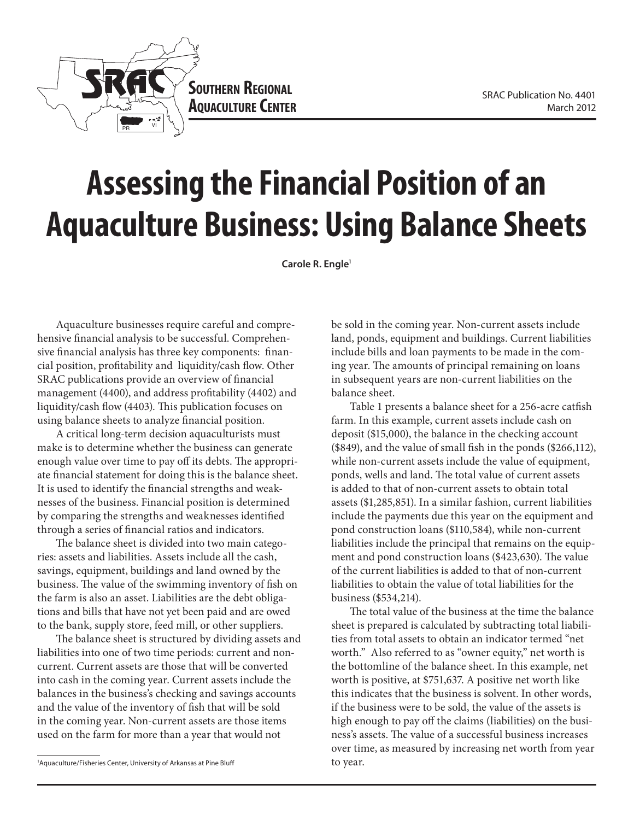



## **Assessing the Financial Position of an Aquaculture Business: Using Balance Sheets**

**Carole R. Engle1**

Aquaculture businesses require careful and comprehensive financial analysis to be successful. Comprehensive financial analysis has three key components: financial position, profitability and liquidity/cash flow. Other SRAC publications provide an overview of financial management (4400), and address profitability (4402) and liquidity/cash flow (4403). This publication focuses on using balance sheets to analyze financial position.

A critical long-term decision aquaculturists must make is to determine whether the business can generate enough value over time to pay off its debts. The appropriate financial statement for doing this is the balance sheet. It is used to identify the financial strengths and weaknesses of the business. Financial position is determined by comparing the strengths and weaknesses identified through a series of financial ratios and indicators.

The balance sheet is divided into two main categories: assets and liabilities. Assets include all the cash, savings, equipment, buildings and land owned by the business. The value of the swimming inventory of fish on the farm is also an asset. Liabilities are the debt obligations and bills that have not yet been paid and are owed to the bank, supply store, feed mill, or other suppliers.

The balance sheet is structured by dividing assets and liabilities into one of two time periods: current and noncurrent. Current assets are those that will be converted into cash in the coming year. Current assets include the balances in the business's checking and savings accounts and the value of the inventory of fish that will be sold in the coming year. Non-current assets are those items used on the farm for more than a year that would not

be sold in the coming year. Non-current assets include land, ponds, equipment and buildings. Current liabilities include bills and loan payments to be made in the coming year. The amounts of principal remaining on loans in subsequent years are non-current liabilities on the balance sheet.

Table 1 presents a balance sheet for a 256-acre catfish farm. In this example, current assets include cash on deposit (\$15,000), the balance in the checking account (\$849), and the value of small fish in the ponds (\$266,112), while non-current assets include the value of equipment, ponds, wells and land. The total value of current assets is added to that of non-current assets to obtain total assets (\$1,285,851). In a similar fashion, current liabilities include the payments due this year on the equipment and pond construction loans (\$110,584), while non-current liabilities include the principal that remains on the equipment and pond construction loans (\$423,630). The value of the current liabilities is added to that of non-current liabilities to obtain the value of total liabilities for the business (\$534,214).

The total value of the business at the time the balance sheet is prepared is calculated by subtracting total liabilities from total assets to obtain an indicator termed "net worth." Also referred to as "owner equity," net worth is the bottomline of the balance sheet. In this example, net worth is positive, at \$751,637. A positive net worth like this indicates that the business is solvent. In other words, if the business were to be sold, the value of the assets is high enough to pay off the claims (liabilities) on the business's assets. The value of a successful business increases over time, as measured by increasing net worth from year to year.

<sup>1</sup> Aquaculture/Fisheries Center, University of Arkansas at Pine Bluff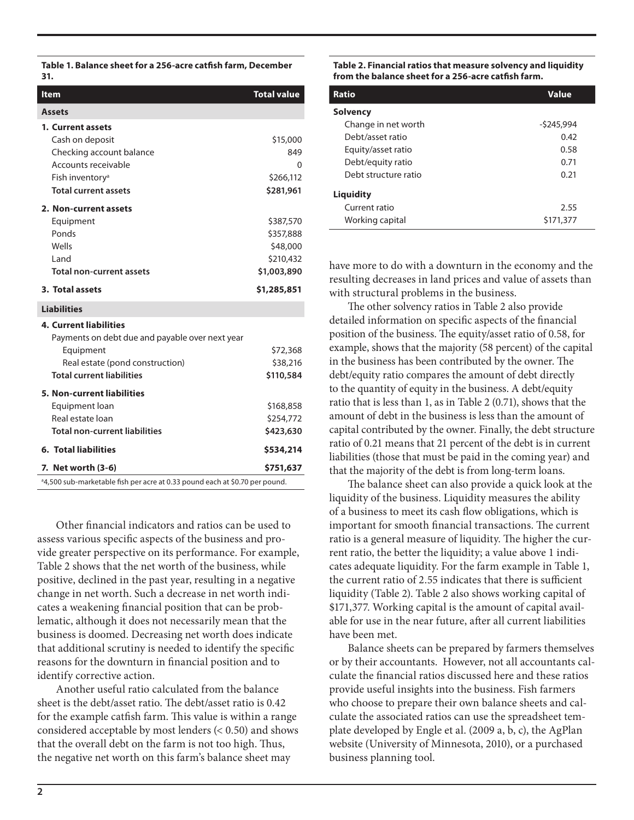**Table 1. Balance sheet for a 256-acre catfish farm, December 31.**

| <b>Item</b>                     | <b>Total value</b> |
|---------------------------------|--------------------|
| <b>Assets</b>                   |                    |
| 1. Current assets               |                    |
| Cash on deposit                 | \$15,000           |
| Checking account balance        | 849                |
| Accounts receivable             | O                  |
| Fish inventory <sup>a</sup>     | \$266,112          |
| <b>Total current assets</b>     | \$281,961          |
| 2. Non-current assets           |                    |
| Equipment                       | \$387,570          |
| Ponds                           | \$357,888          |
| Wells                           | \$48,000           |
| Land                            | \$210,432          |
| <b>Total non-current assets</b> | \$1,003,890        |
| 3. Total assets                 | \$1,285,851        |
| <b>Liabilities</b>              |                    |
| <b>4. Current liabilities</b>   |                    |

| 9. CUITEIIL IIADIIILIES                                                                 |           |
|-----------------------------------------------------------------------------------------|-----------|
| Payments on debt due and payable over next year                                         |           |
| Equipment                                                                               | \$72,368  |
| Real estate (pond construction)                                                         | \$38,216  |
| <b>Total current liabilities</b>                                                        | \$110,584 |
| 5. Non-current liabilities                                                              |           |
| Equipment loan                                                                          | \$168,858 |
| Real estate loan                                                                        | \$254,772 |
| <b>Total non-current liabilities</b>                                                    | \$423,630 |
| <b>6. Total liabilities</b>                                                             | \$534,214 |
| 7. Net worth (3-6)                                                                      | \$751,637 |
| <sup>a</sup> 4,500 sub-marketable fish per acre at 0.33 pound each at \$0.70 per pound. |           |
|                                                                                         |           |

Other financial indicators and ratios can be used to assess various specific aspects of the business and provide greater perspective on its performance. For example, Table 2 shows that the net worth of the business, while positive, declined in the past year, resulting in a negative change in net worth. Such a decrease in net worth indicates a weakening financial position that can be problematic, although it does not necessarily mean that the business is doomed. Decreasing net worth does indicate that additional scrutiny is needed to identify the specific reasons for the downturn in financial position and to identify corrective action.

Another useful ratio calculated from the balance sheet is the debt/asset ratio. The debt/asset ratio is 0.42 for the example catfish farm. This value is within a range considered acceptable by most lenders (< 0.50) and shows that the overall debt on the farm is not too high. Thus, the negative net worth on this farm's balance sheet may

**Table 2. Financial ratios that measure solvency and liquidity from the balance sheet for a 256-acre catfish farm.**

| <b>Ratio</b>         | <b>Value</b> |  |  |
|----------------------|--------------|--|--|
| Solvency             |              |  |  |
| Change in net worth  | -\$245,994   |  |  |
| Debt/asset ratio     | 0.42         |  |  |
| Equity/asset ratio   | 0.58         |  |  |
| Debt/equity ratio    | 0.71         |  |  |
| Debt structure ratio | 0.21         |  |  |
| Liquidity            |              |  |  |
| Current ratio        | 2.55         |  |  |
| Working capital      | \$171,377    |  |  |

have more to do with a downturn in the economy and the resulting decreases in land prices and value of assets than with structural problems in the business.

The other solvency ratios in Table 2 also provide detailed information on specific aspects of the financial position of the business. The equity/asset ratio of 0.58, for example, shows that the majority (58 percent) of the capital in the business has been contributed by the owner. The debt/equity ratio compares the amount of debt directly to the quantity of equity in the business. A debt/equity ratio that is less than 1, as in Table 2 (0.71), shows that the amount of debt in the business is less than the amount of capital contributed by the owner. Finally, the debt structure ratio of 0.21 means that 21 percent of the debt is in current liabilities (those that must be paid in the coming year) and that the majority of the debt is from long-term loans.

The balance sheet can also provide a quick look at the liquidity of the business. Liquidity measures the ability of a business to meet its cash flow obligations, which is important for smooth financial transactions. The current ratio is a general measure of liquidity. The higher the current ratio, the better the liquidity; a value above 1 indicates adequate liquidity. For the farm example in Table 1, the current ratio of 2.55 indicates that there is sufficient liquidity (Table 2). Table 2 also shows working capital of \$171,377. Working capital is the amount of capital available for use in the near future, after all current liabilities have been met.

Balance sheets can be prepared by farmers themselves or by their accountants. However, not all accountants calculate the financial ratios discussed here and these ratios provide useful insights into the business. Fish farmers who choose to prepare their own balance sheets and calculate the associated ratios can use the spreadsheet template developed by Engle et al. (2009 a, b, c), the AgPlan website (University of Minnesota, 2010), or a purchased business planning tool.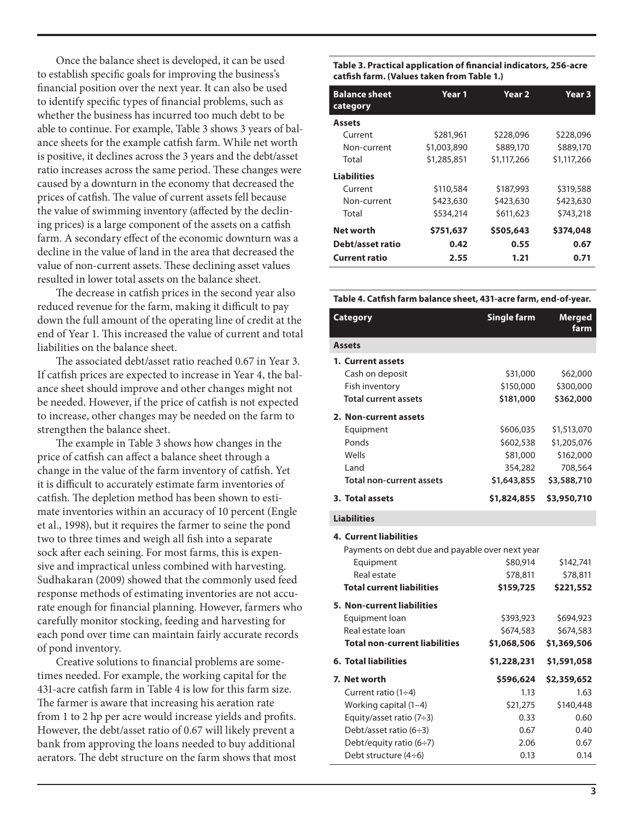Once the balance sheet is developed, it can be used to establish specific goals for improving the business's financial position over the next year. It can also be used to identify specific types of financial problems, such as whether the business has incurred too much debt to be able to continue. For example, Table 3 shows 3 years of balance sheets for the example catfish farm. While net worth is positive, it declines across the 3 years and the debt/asset ratio increases across the same period. These changes were caused by a downturn in the economy that decreased the prices of catfish. The value of current assets fell because the value of swimming inventory (affected by the declining prices) is a large component of the assets on a catfish farm. A secondary effect of the economic downturn was a decline in the value of land in the area that decreased the value of non-current assets. These declining asset values resulted in lower total assets on the balance sheet.

The decrease in catfish prices in the second year also reduced revenue for the farm, making it difficult to pay down the full amount of the operating line of credit at the end of Year 1. This increased the value of current and total liabilities on the balance sheet.

The associated debt/asset ratio reached 0.67 in Year 3. If catfish prices are expected to increase in Year 4, the balance sheet should improve and other changes might not be needed. However, if the price of catfish is not expected to increase, other changes may be needed on the farm to strengthen the balance sheet.

The example in Table 3 shows how changes in the price of catfish can affect a balance sheet through a change in the value of the farm inventory of catfish. Yet it is difficult to accurately estimate farm inventories of catfish. The depletion method has been shown to estimate inventories within an accuracy of 10 percent (Engle et al., 1998), but it requires the farmer to seine the pond two to three times and weigh all fish into a separate sock after each seining. For most farms, this is expensive and impractical unless combined with harvesting. Sudhakaran (2009) showed that the commonly used feed response methods of estimating inventories are not accurate enough for financial planning. However, farmers who carefully monitor stocking, feeding and harvesting for each pond over time can maintain fairly accurate records of pond inventory.

Creative solutions to financial problems are sometimes needed. For example, the working capital for the 431-acre catfish farm in Table 4 is low for this farm size. The farmer is aware that increasing his aeration rate from 1 to 2 hp per acre would increase yields and profits. However, the debt/asset ratio of 0.67 will likely prevent a bank from approving the loans needed to buy additional aerators. The debt structure on the farm shows that most **Table 3. Practical application of financial indicators, 256-acre catfish farm. (Values taken from Table 1.)** 

| <b>Balance sheet</b><br>category | Year 1      | Year <sub>2</sub> | Year 3      |
|----------------------------------|-------------|-------------------|-------------|
| Assets                           |             |                   |             |
| Current                          | \$281,961   | \$228,096         | \$228,096   |
| Non-current                      | \$1,003,890 | \$889,170         | \$889,170   |
| Total                            | \$1,285,851 | \$1,117,266       | \$1,117,266 |
| <b>Liabilities</b>               |             |                   |             |
| Current                          | \$110,584   | \$187,993         | \$319,588   |
| Non-current                      | \$423,630   | \$423,630         | \$423,630   |
| Total                            | \$534,214   | \$611,623         | \$743,218   |
| Net worth                        | \$751,637   | \$505,643         | \$374,048   |
| Debt/asset ratio                 | 0.42        | 0.55              | 0.67        |
| <b>Current ratio</b>             | 2.55        | 1.21              | 0.71        |

**Table 4. Catfish farm balance sheet, 431-acre farm, end-of-year.**

| Category                                        | <b>Single farm</b> | Merged<br>farm |
|-------------------------------------------------|--------------------|----------------|
| <b>Assets</b>                                   |                    |                |
| 1. Current assets                               |                    |                |
| Cash on deposit                                 | \$31,000           | \$62,000       |
| Fish inventory                                  | \$150,000          | \$300,000      |
| <b>Total current assets</b>                     | \$181,000          | \$362,000      |
| 2. Non-current assets                           |                    |                |
| Equipment                                       | \$606,035          | \$1,513,070    |
| Ponds                                           | \$602,538          | \$1,205,076    |
| Wells                                           | \$81,000           | \$162,000      |
| Land                                            | 354,282            | 708,564        |
| <b>Total non-current assets</b>                 | \$1,643,855        | \$3,588,710    |
| 3. Total assets                                 | \$1,824,855        | \$3,950,710    |
| <b>Liabilities</b>                              |                    |                |
| <b>4. Current liabilities</b>                   |                    |                |
| Payments on debt due and payable over next year |                    |                |
| Equipment                                       | \$80,914           | \$142,741      |
|                                                 |                    |                |

| Real estate                          | \$78,811    | \$78,811    |
|--------------------------------------|-------------|-------------|
| <b>Total current liabilities</b>     | \$159,725   | \$221,552   |
| 5. Non-current liabilities           |             |             |
| Equipment loan                       | \$393,923   | \$694,923   |
| Real estate loan                     | \$674,583   | \$674,583   |
| <b>Total non-current liabilities</b> | \$1,068,506 | \$1,369,506 |
| <b>6. Total liabilities</b>          | \$1,228,231 | \$1,591,058 |
|                                      |             |             |
| 7. Net worth                         | \$596,624   | \$2,359,652 |
| Current ratio $(1\div 4)$            | 1.13        | 1.63        |
| Working capital $(1-4)$              | \$21,275    | \$140,448   |
| Equity/asset ratio $(7\div 3)$       | 0.33        | 0.60        |
| Debt/asset ratio $(6 \div 3)$        | 0.67        | 0.40        |
| Debt/equity ratio $(6\div7)$         | 2.06        | 0.67        |